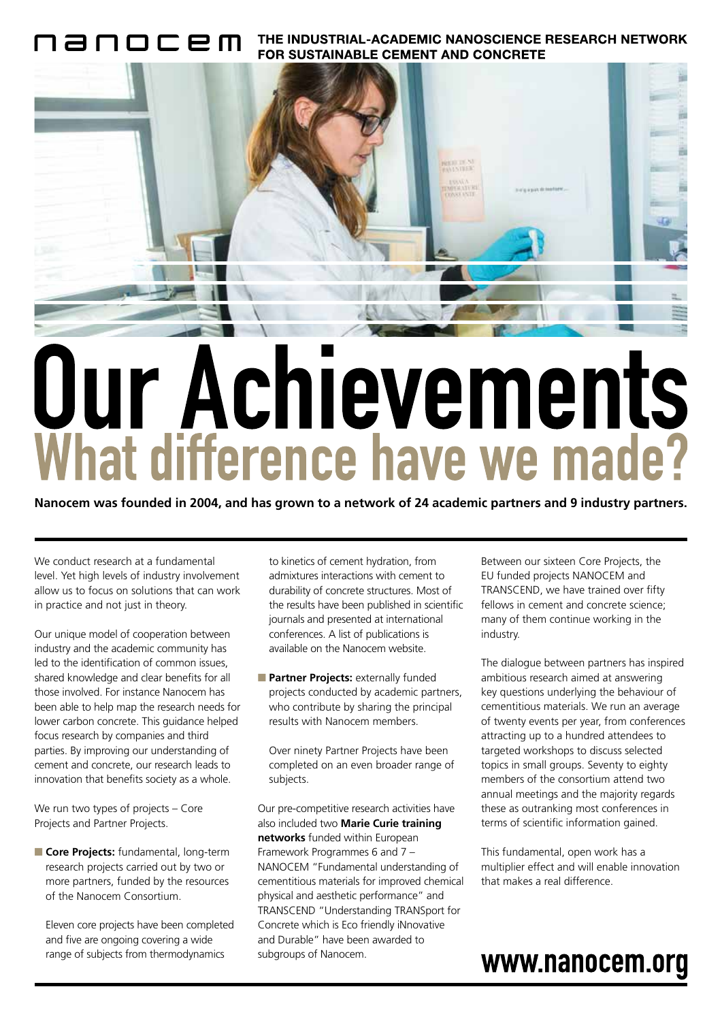THE INDUSTRIAL-ACADEMIC NANOSCIENCE RESEARCH NETWORK **FOR SUSTAINABLE CEMENT AND CONCRETE** 



## Our Achievements What difference have we made?

**Nanocem was founded in 2004, and has grown to a network of 24 academic partners and 9 industry partners.**

We conduct research at a fundamental level. Yet high levels of industry involvement allow us to focus on solutions that can work in practice and not just in theory.

Our unique model of cooperation between industry and the academic community has led to the identification of common issues, shared knowledge and clear benefits for all those involved. For instance Nanocem has been able to help map the research needs for lower carbon concrete. This guidance helped focus research by companies and third parties. By improving our understanding of cement and concrete, our research leads to innovation that benefits society as a whole.

We run two types of projects – Core Projects and Partner Projects.

■ **Core Projects:** fundamental, long-term research projects carried out by two or more partners, funded by the resources of the Nanocem Consortium.

Eleven core projects have been completed and five are ongoing covering a wide range of subjects from thermodynamics

to kinetics of cement hydration, from admixtures interactions with cement to durability of concrete structures. Most of the results have been published in scientific journals and presented at international conferences. A list of publications is available on the Nanocem website.

■ **Partner Projects:** externally funded projects conducted by academic partners, who contribute by sharing the principal results with Nanocem members.

Over ninety Partner Projects have been completed on an even broader range of subjects.

Our pre-competitive research activities have also included two **Marie Curie training networks** funded within European Framework Programmes 6 and 7 – NANOCEM "Fundamental understanding of cementitious materials for improved chemical physical and aesthetic performance" and TRANSCEND "Understanding TRANSport for Concrete which is Eco friendly iNnovative and Durable" have been awarded to subgroups of Nanocem.

Between our sixteen Core Projects, the EU funded projects NANOCEM and TRANSCEND, we have trained over fifty fellows in cement and concrete science; many of them continue working in the industry.

The dialogue between partners has inspired ambitious research aimed at answering key questions underlying the behaviour of cementitious materials. We run an average of twenty events per year, from conferences attracting up to a hundred attendees to targeted workshops to discuss selected topics in small groups. Seventy to eighty members of the consortium attend two annual meetings and the majority regards these as outranking most conferences in terms of scientific information gained.

This fundamental, open work has a multiplier effect and will enable innovation that makes a real difference.

## www.nanocem.org